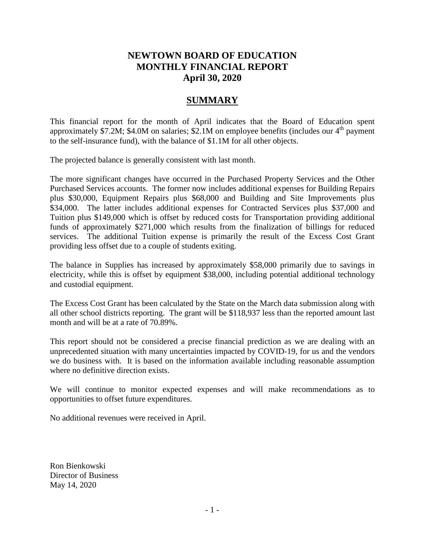## **NEWTOWN BOARD OF EDUCATION MONTHLY FINANCIAL REPORT April 30, 2020**

## **SUMMARY**

This financial report for the month of April indicates that the Board of Education spent approximately \$7.2M; \$4.0M on salaries; \$2.1M on employee benefits (includes our  $4<sup>th</sup>$  payment to the self-insurance fund), with the balance of \$1.1M for all other objects.

The projected balance is generally consistent with last month.

The more significant changes have occurred in the Purchased Property Services and the Other Purchased Services accounts. The former now includes additional expenses for Building Repairs plus \$30,000, Equipment Repairs plus \$68,000 and Building and Site Improvements plus \$34,000. The latter includes additional expenses for Contracted Services plus \$37,000 and Tuition plus \$149,000 which is offset by reduced costs for Transportation providing additional funds of approximately \$271,000 which results from the finalization of billings for reduced services. The additional Tuition expense is primarily the result of the Excess Cost Grant providing less offset due to a couple of students exiting.

The balance in Supplies has increased by approximately \$58,000 primarily due to savings in electricity, while this is offset by equipment \$38,000, including potential additional technology and custodial equipment.

The Excess Cost Grant has been calculated by the State on the March data submission along with all other school districts reporting. The grant will be \$118,937 less than the reported amount last month and will be at a rate of 70.89%.

This report should not be considered a precise financial prediction as we are dealing with an unprecedented situation with many uncertainties impacted by COVID-19, for us and the vendors we do business with. It is based on the information available including reasonable assumption where no definitive direction exists.

We will continue to monitor expected expenses and will make recommendations as to opportunities to offset future expenditures.

No additional revenues were received in April.

Ron Bienkowski Director of Business May 14, 2020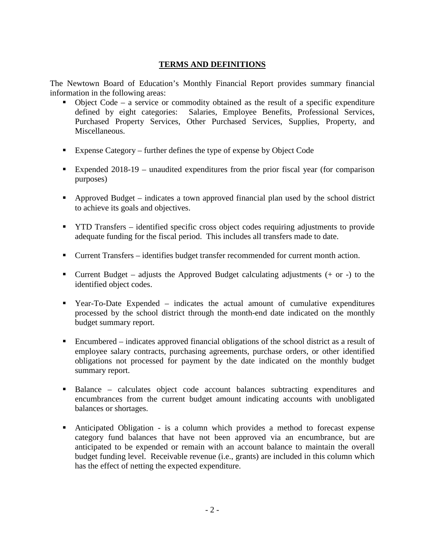#### **TERMS AND DEFINITIONS**

The Newtown Board of Education's Monthly Financial Report provides summary financial information in the following areas:

- Object Code a service or commodity obtained as the result of a specific expenditure defined by eight categories: Salaries, Employee Benefits, Professional Services, Salaries, Employee Benefits, Professional Services, Purchased Property Services, Other Purchased Services, Supplies, Property, and Miscellaneous.
- Expense Category further defines the type of expense by Object Code
- Expended 2018-19 unaudited expenditures from the prior fiscal year (for comparison purposes)
- Approved Budget indicates a town approved financial plan used by the school district to achieve its goals and objectives.
- **THE TRANSFER** identified specific cross object codes requiring adjustments to provide adequate funding for the fiscal period. This includes all transfers made to date.
- Current Transfers identifies budget transfer recommended for current month action.
- **Current Budget** adjusts the Approved Budget calculating adjustments  $(+)$  or  $-)$  to the identified object codes.
- Year-To-Date Expended indicates the actual amount of cumulative expenditures processed by the school district through the month-end date indicated on the monthly budget summary report.
- Encumbered indicates approved financial obligations of the school district as a result of employee salary contracts, purchasing agreements, purchase orders, or other identified obligations not processed for payment by the date indicated on the monthly budget summary report.
- Balance calculates object code account balances subtracting expenditures and encumbrances from the current budget amount indicating accounts with unobligated balances or shortages.
- Anticipated Obligation is a column which provides a method to forecast expense category fund balances that have not been approved via an encumbrance, but are anticipated to be expended or remain with an account balance to maintain the overall budget funding level. Receivable revenue (i.e., grants) are included in this column which has the effect of netting the expected expenditure.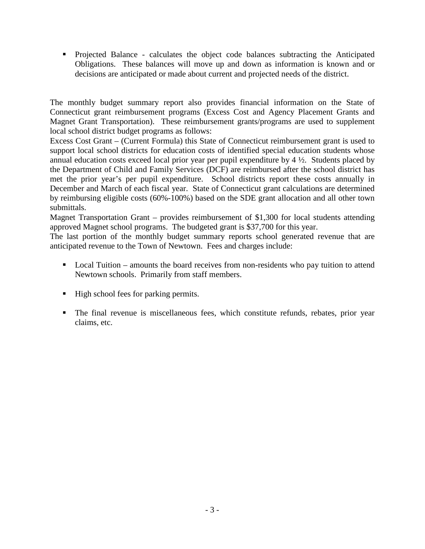Projected Balance - calculates the object code balances subtracting the Anticipated Obligations. These balances will move up and down as information is known and or decisions are anticipated or made about current and projected needs of the district.

The monthly budget summary report also provides financial information on the State of Connecticut grant reimbursement programs (Excess Cost and Agency Placement Grants and Magnet Grant Transportation). These reimbursement grants/programs are used to supplement local school district budget programs as follows:

Excess Cost Grant – (Current Formula) this State of Connecticut reimbursement grant is used to support local school districts for education costs of identified special education students whose annual education costs exceed local prior year per pupil expenditure by 4 ½. Students placed by the Department of Child and Family Services (DCF) are reimbursed after the school district has met the prior year's per pupil expenditure. School districts report these costs annually in December and March of each fiscal year. State of Connecticut grant calculations are determined by reimbursing eligible costs (60%-100%) based on the SDE grant allocation and all other town submittals.

Magnet Transportation Grant – provides reimbursement of \$1,300 for local students attending approved Magnet school programs. The budgeted grant is \$37,700 for this year.

The last portion of the monthly budget summary reports school generated revenue that are anticipated revenue to the Town of Newtown. Fees and charges include:

- Local Tuition amounts the board receives from non-residents who pay tuition to attend Newtown schools. Primarily from staff members.
- $\blacksquare$  High school fees for parking permits.
- The final revenue is miscellaneous fees, which constitute refunds, rebates, prior year claims, etc.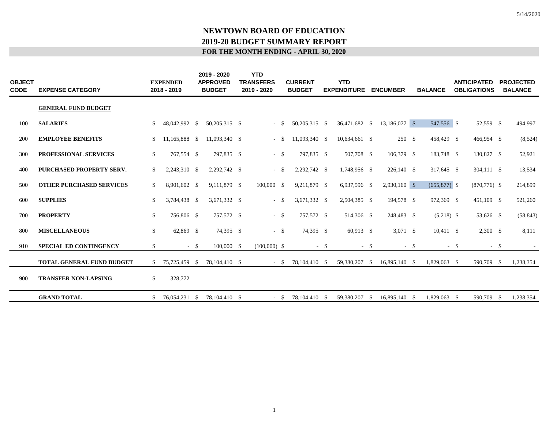| <b>OBJECT</b><br><b>CODE</b> | <b>EXPENSE CATEGORY</b>          |               | <b>EXPENDED</b><br>2018 - 2019 |        | 2019 - 2020<br><b>APPROVED</b><br><b>BUDGET</b> | <b>YTD</b><br><b>TRANSFERS</b><br>2019 - 2020 |        | <b>CURRENT</b><br><b>BUDGET</b> |        | <b>YTD</b><br><b>EXPENDITURE</b> |        | <b>ENCUMBER</b> |        | <b>BALANCE</b> |        | <b>ANTICIPATED</b><br><b>OBLIGATIONS</b> | <b>PROJECTED</b><br><b>BALANCE</b> |
|------------------------------|----------------------------------|---------------|--------------------------------|--------|-------------------------------------------------|-----------------------------------------------|--------|---------------------------------|--------|----------------------------------|--------|-----------------|--------|----------------|--------|------------------------------------------|------------------------------------|
|                              | <b>GENERAL FUND BUDGET</b>       |               |                                |        |                                                 |                                               |        |                                 |        |                                  |        |                 |        |                |        |                                          |                                    |
| 100                          | <b>SALARIES</b>                  |               | 48,042,992 \$                  |        | 50,205,315 \$                                   | - \$                                          |        | 50,205,315 \$                   |        | 36,471,682 \$                    |        | 13,186,077 \$   |        | 547,556 \$     |        | 52,559 \$                                | 494,997                            |
| 200                          | <b>EMPLOYEE BENEFITS</b>         | \$            | 11,165,888 \$                  |        | 11,093,340 \$                                   | $-$ \$                                        |        | 11,093,340 \$                   |        | 10,634,661 \$                    |        | $250*$          |        | 458,429 \$     |        | 466,954 \$                               | (8,524)                            |
| 300                          | <b>PROFESSIONAL SERVICES</b>     | \$            | 767,554 \$                     |        | 797,835 \$                                      | $-$ \$                                        |        | 797,835 \$                      |        | 507,708 \$                       |        | 106,379 \$      |        | 183,748 \$     |        | 130,827 \$                               | 52,921                             |
| 400                          | PURCHASED PROPERTY SERV.         | \$            | 2,243,310 \$                   |        | 2,292,742 \$                                    |                                               | $-$ \$ | 2,292,742 \$                    |        | 1,748,956 \$                     |        | 226,140 \$      |        | 317,645 \$     |        | 304,111 \$                               | 13,534                             |
| 500                          | <b>OTHER PURCHASED SERVICES</b>  | \$            | 8,901,602 \$                   |        | 9,111,879 \$                                    | $100,000$ \$                                  |        | 9,211,879 \$                    |        | 6,937,596 \$                     |        | $2,930,160$ \$  |        | $(655,877)$ \$ |        | $(870, 776)$ \$                          | 214,899                            |
| 600                          | <b>SUPPLIES</b>                  | \$            | 3,784,438 \$                   |        | 3,671,332 \$                                    | $-$ \$                                        |        | 3,671,332 \$                    |        | 2,504,385 \$                     |        | 194,578 \$      |        | 972,369 \$     |        | 451,109 \$                               | 521,260                            |
| 700                          | <b>PROPERTY</b>                  | $\mathbb{S}$  | 756,806 \$                     |        | 757,572 \$                                      | $-5$                                          |        | 757,572 \$                      |        | 514,306 \$                       |        | 248,483 \$      |        | $(5,218)$ \$   |        | 53,626 \$                                | (58, 843)                          |
| 800                          | <b>MISCELLANEOUS</b>             | $\mathbb{S}$  | 62,869 \$                      |        | 74,395 \$                                       |                                               | $-$ \$ | 74,395 \$                       |        | 60,913 \$                        |        | $3,071$ \$      |        | $10,411$ \$    |        | $2,300$ \$                               | 8,111                              |
| 910                          | <b>SPECIAL ED CONTINGENCY</b>    | \$            |                                | $-$ \$ | 100,000 \$                                      | $(100,000)$ \$                                |        |                                 | $-$ \$ |                                  | $-$ \$ |                 | $-$ \$ |                | $-$ \$ | $- S$                                    |                                    |
|                              | <b>TOTAL GENERAL FUND BUDGET</b> | S.            | 75,725,459 \$                  |        | 78,104,410 \$                                   |                                               |        | $-$ \$ 78,104,410 \$            |        | 59,380,207 \$                    |        | 16,895,140 \$   |        | 1,829,063 \$   |        | 590,709 \$                               | 1,238,354                          |
| 900                          | <b>TRANSFER NON-LAPSING</b>      | <sup>\$</sup> | 328,772                        |        |                                                 |                                               |        |                                 |        |                                  |        |                 |        |                |        |                                          |                                    |
|                              | <b>GRAND TOTAL</b>               | S.            | 76,054,231 \$                  |        | 78,104,410 \$                                   |                                               | $- S$  | 78,104,410 \$                   |        | 59,380,207 \$                    |        | 16,895,140 \$   |        | 1,829,063 \$   |        | 590,709 \$                               | 1,238,354                          |

5/14/2020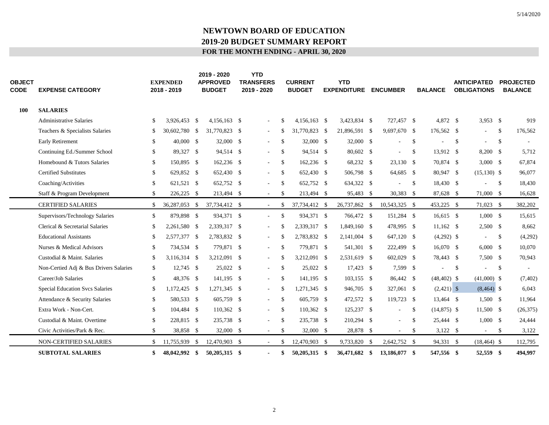| <b>OBJECT</b><br><b>CODE</b> | <b>EXPENSE CATEGORY</b>                |              | <b>EXPENDED</b><br>2018 - 2019 |      | 2019 - 2020<br><b>APPROVED</b><br><b>BUDGET</b> | <b>YTD</b><br><b>TRANSFERS</b><br>2019 - 2020 |               | <b>CURRENT</b><br><b>BUDGET</b> | <b>YTD</b><br><b>EXPENDITURE</b> |      | <b>ENCUMBER</b> |               | <b>BALANCE</b> |     | <b>ANTICIPATED</b><br><b>OBLIGATIONS</b> |               | <b>PROJECTED</b><br><b>BALANCE</b> |
|------------------------------|----------------------------------------|--------------|--------------------------------|------|-------------------------------------------------|-----------------------------------------------|---------------|---------------------------------|----------------------------------|------|-----------------|---------------|----------------|-----|------------------------------------------|---------------|------------------------------------|
| <b>100</b>                   | <b>SALARIES</b>                        |              |                                |      |                                                 |                                               |               |                                 |                                  |      |                 |               |                |     |                                          |               |                                    |
|                              | <b>Administrative Salaries</b>         | \$           | 3,926,453 \$                   |      | $4,156,163$ \$                                  | $\overline{\phantom{a}}$                      | <sup>\$</sup> | $4.156.163$ \$                  | 3.423.834 \$                     |      | 727,457 \$      |               | 4.872 \$       |     | 3,953 \$                                 |               | 919                                |
|                              | Teachers & Specialists Salaries        | \$           | 30,602,780 \$                  |      | 31,770,823 \$                                   |                                               | <sup>\$</sup> | 31,770,823 \$                   | 21,896,591 \$                    |      | 9,697,670 \$    |               | 176,562 \$     |     | ÷,                                       | <sup>\$</sup> | 176,562                            |
|                              | <b>Early Retirement</b>                | \$           | 40,000 \$                      |      | 32,000 \$                                       |                                               | <sup>\$</sup> | 32,000 \$                       | 32,000 \$                        |      |                 | <sup>\$</sup> |                | \$  |                                          | <sup>\$</sup> |                                    |
|                              | Continuing Ed./Summer School           | \$           | 89,327 \$                      |      | 94,514 \$                                       |                                               | <sup>\$</sup> | 94,514 \$                       | 80,602 \$                        |      | $\sim$          | <sup>\$</sup> | 13,912 \$      |     | 8,200 \$                                 |               | 5,712                              |
|                              | Homebound & Tutors Salaries            | \$           | 150,895 \$                     |      | $162,236$ \$                                    |                                               | <sup>\$</sup> | $162,236$ \$                    | 68,232 \$                        |      | 23,130 \$       |               | 70,874 \$      |     | $3,000$ \$                               |               | 67,874                             |
|                              | <b>Certified Substitutes</b>           | \$           | 629,852 \$                     |      | 652,430 \$                                      | $\sim$                                        | \$            | 652,430 \$                      | 506,798 \$                       |      | 64,685 \$       |               | 80,947 \$      |     | $(15,130)$ \$                            |               | 96,077                             |
|                              | Coaching/Activities                    | \$           | 621,521 \$                     |      | 652,752 \$                                      |                                               | <sup>\$</sup> | 652,752 \$                      | 634,322 \$                       |      |                 | <sup>\$</sup> | 18,430 \$      |     |                                          | <sup>\$</sup> | 18,430                             |
|                              | Staff & Program Development            | \$           | 226,225 \$                     |      | 213,494 \$                                      | $\sim$                                        | \$            | 213,494 \$                      | 95,483 \$                        |      | 30,383 \$       |               | 87,628 \$      |     | 71,000 \$                                |               | 16,628                             |
|                              | <b>CERTIFIED SALARIES</b>              | \$           | 36,287,053 \$                  |      | 37,734,412 \$                                   |                                               | <sup>\$</sup> | 37,734,412 \$                   | 26,737,862 \$                    |      | 10,543,325 \$   |               | 453,225 \$     |     | 71,023 \$                                |               | 382,202                            |
|                              | Supervisors/Technology Salaries        | $\mathbb{S}$ | 879,898 \$                     |      | 934,371 \$                                      | $\sim$                                        | $\mathbb{S}$  | 934,371 \$                      | 766,472 \$                       |      | 151,284 \$      |               | $16,615$ \$    |     | $1,000 \quad$ \$                         |               | 15,615                             |
|                              | Clerical & Secretarial Salaries        | \$           | 2,261,580 \$                   |      | 2,339,317 \$                                    |                                               | <sup>\$</sup> | 2,339,317 \$                    | 1,849,160 \$                     |      | 478,995 \$      |               | $11,162$ \$    |     | $2,500$ \$                               |               | 8,662                              |
|                              | <b>Educational Assistants</b>          | \$           | 2,577,377 \$                   |      | 2,783,832 \$                                    |                                               | <sup>\$</sup> | 2,783,832 \$                    | 2,141,004 \$                     |      | 647,120 \$      |               | $(4,292)$ \$   |     | $\overline{\phantom{a}}$                 | <sup>\$</sup> | (4,292)                            |
|                              | Nurses & Medical Advisors              | \$           | 734,534 \$                     |      | 779,871 \$                                      |                                               | <sup>\$</sup> | 779,871 \$                      | 541,301 \$                       |      | 222,499 \$      |               | $16,070$ \$    |     | $6,000$ \$                               |               | 10,070                             |
|                              | Custodial & Maint. Salaries            | \$           | 3,116,314 \$                   |      | 3,212,091 \$                                    |                                               | <sup>\$</sup> | 3,212,091 \$                    | 2,531,619 \$                     |      | $602,029$ \$    |               | 78,443 \$      |     | 7,500 \$                                 |               | 70,943                             |
|                              | Non-Certied Adj & Bus Drivers Salaries | \$           | 12,745 \$                      |      | 25,022 \$                                       |                                               | <sup>\$</sup> | 25,022 \$                       | $17,423$ \$                      |      | 7,599 \$        |               |                | -\$ |                                          | <sup>\$</sup> |                                    |
|                              | Career/Job Salaries                    | \$           | 48,376 \$                      |      | 141,195 \$                                      |                                               | \$            | 141,195 \$                      | $103,155$ \$                     |      | 86,442 \$       |               | $(48, 402)$ \$ |     | $(41,000)$ \$                            |               | (7, 402)                           |
|                              | Special Education Svcs Salaries        | \$           | 1,172,425 \$                   |      | 1,271,345 \$                                    | $\sim$                                        | \$            | $1,271,345$ \$                  | 946,705 \$                       |      | 327,061 \$      |               | $(2,421)$ \$   |     | $(8,464)$ \$                             |               | 6,043                              |
|                              | Attendance & Security Salaries         | \$           | 580,533 \$                     |      | 605,759 \$                                      |                                               | \$            | 605,759 \$                      | 472,572 \$                       |      | 119,723 \$      |               | 13,464 \$      |     | $1,500$ \$                               |               | 11,964                             |
|                              | Extra Work - Non-Cert.                 | \$           | 104,484 \$                     |      | 110,362 \$                                      | $\sim$                                        | \$            | 110,362 \$                      | 125,237 \$                       |      | $\frac{1}{2}$   | <sup>\$</sup> | $(14,875)$ \$  |     | $11,500$ \$                              |               | (26, 375)                          |
|                              | Custodial & Maint. Overtime            | \$           | 228,815 \$                     |      | 235,738 \$                                      |                                               | <sup>\$</sup> | 235,738 \$                      | 210,294 \$                       |      | ÷.              | -S            | 25,444 \$      |     | $1,000$ \$                               |               | 24,444                             |
|                              | Civic Activities/Park & Rec.           | \$           | 38,858 \$                      |      | 32,000 \$                                       | $\sim$                                        | \$            | 32,000 \$                       | 28,878 \$                        |      | $\sim$          | <sup>\$</sup> | $3,122$ \$     |     | $\sim$                                   | \$            | 3,122                              |
|                              | NON-CERTIFIED SALARIES                 | \$.          | 11,755,939                     | - \$ | 12,470,903 \$                                   |                                               | \$.           | 12,470,903 \$                   | 9,733,820                        | - \$ | 2,642,752 \$    |               | 94,331 \$      |     | $(18, 464)$ \$                           |               | 112,795                            |
|                              | <b>SUBTOTAL SALARIES</b>               | \$           | 48,042,992 \$                  |      | 50,205,315 \$                                   |                                               | S             | 50,205,315 \$                   | 36,471,682 \$                    |      | 13,186,077 \$   |               | 547,556 \$     |     | 52,559 \$                                |               | 494,997                            |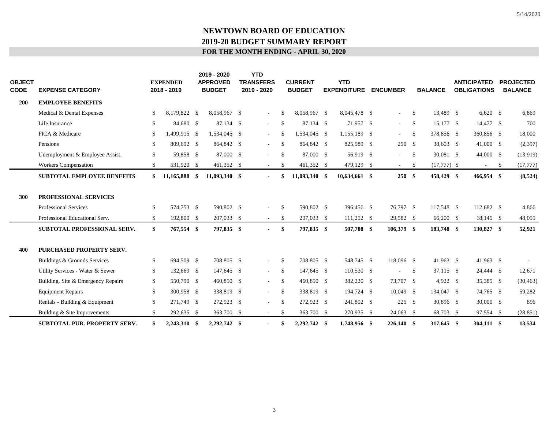| <b>OBJECT</b><br>CODE | <b>EXPENSE CATEGORY</b>            |               | <b>EXPENDED</b><br>2018 - 2019 | 2019 - 2020<br><b>APPROVED</b><br><b>BUDGET</b> | <b>YTD</b><br><b>TRANSFERS</b><br>2019 - 2020 |               | <b>CURRENT</b><br><b>BUDGET</b> | <b>YTD</b><br><b>EXPENDITURE</b> | <b>ENCUMBER</b> |               | <b>BALANCE</b> | <b>ANTICIPATED</b><br><b>OBLIGATIONS</b> |              | <b>PROJECTED</b><br><b>BALANCE</b> |
|-----------------------|------------------------------------|---------------|--------------------------------|-------------------------------------------------|-----------------------------------------------|---------------|---------------------------------|----------------------------------|-----------------|---------------|----------------|------------------------------------------|--------------|------------------------------------|
| 200                   | <b>EMPLOYEE BENEFITS</b>           |               |                                |                                                 |                                               |               |                                 |                                  |                 |               |                |                                          |              |                                    |
|                       | Medical & Dental Expenses          | S.            | 8,179,822 \$                   | 8,058,967 \$                                    | $\overline{\phantom{a}}$                      | <sup>\$</sup> | 8,058,967 \$                    | 8,045,478 \$                     | $\sim$          | <sup>\$</sup> | 13,489 \$      | $6,620$ \$                               |              | 6,869                              |
|                       | Life Insurance                     | <sup>\$</sup> | 84,680 \$                      | 87,134 \$                                       | $\overline{\phantom{a}}$                      | <sup>\$</sup> | 87,134 \$                       | 71,957 \$                        | $\sim$          | <sup>\$</sup> | 15,177 \$      | 14,477 \$                                |              | 700                                |
|                       | FICA & Medicare                    | \$            | 1,499,915 \$                   | 1,534,045 \$                                    | $\overline{\phantom{a}}$                      | \$            | 1,534,045 \$                    | 1,155,189 \$                     | $\sim$          | $\mathbb{S}$  | 378,856 \$     | 360,856 \$                               |              | 18,000                             |
|                       | Pensions                           | <sup>\$</sup> | 809,692 \$                     | 864,842 \$                                      | $\sim$                                        | <sup>\$</sup> | 864,842 \$                      | 825,989 \$                       | 250 \$          |               | 38,603 \$      | $41,000$ \$                              |              | (2,397)                            |
|                       | Unemployment & Employee Assist.    | \$            | 59,858 \$                      | 87,000 \$                                       | $\overline{\phantom{a}}$                      | \$            | 87,000 \$                       | 56,919 \$                        | $\sim$          | \$            | 30,081 \$      | 44,000 \$                                |              | (13,919)                           |
|                       | Workers Compensation               | \$            | 531,920 \$                     | 461,352 \$                                      | $\sim$                                        | \$            | 461,352 \$                      | 479,129 \$                       | $\sim$          | \$            | $(17,777)$ \$  | $\sim$                                   | $\mathbb{S}$ | (17, 777)                          |
|                       | <b>SUBTOTAL EMPLOYEE BENEFITS</b>  | \$            | 11,165,888 \$                  | 11,093,340 \$                                   | $\sim$                                        |               | $11,093,340$ \$                 | 10,634,661 \$                    | 250S            |               | 458,429 \$     | 466,954 \$                               |              | (8,524)                            |
| 300                   | PROFESSIONAL SERVICES              |               |                                |                                                 |                                               |               |                                 |                                  |                 |               |                |                                          |              |                                    |
|                       | Professional Services              | $\mathbb{S}$  | 574,753 \$                     | 590,802 \$                                      | $\bar{a}$                                     | $\mathbb{S}$  | 590,802 \$                      | 396,456 \$                       | 76,797 \$       |               | 117,548 \$     | 112,682 \$                               |              | 4,866                              |
|                       | Professional Educational Serv.     | \$            | 192,800 \$                     | 207,033 \$                                      | $\sim$                                        | \$            | 207,033 \$                      | $111,252$ \$                     | 29,582 \$       |               | 66,200 \$      | 18,145 \$                                |              | 48,055                             |
|                       | <b>SUBTOTAL PROFESSIONAL SERV.</b> | \$            | 767,554 \$                     | 797,835 \$                                      | $\blacksquare$                                | \$            | 797,835 \$                      | 507,708 \$                       | 106,379 \$      |               | 183,748 \$     | 130,827 \$                               |              | 52,921                             |
| 400                   | PURCHASED PROPERTY SERV.           |               |                                |                                                 |                                               |               |                                 |                                  |                 |               |                |                                          |              |                                    |
|                       | Buildings & Grounds Services       | <sup>\$</sup> | 694,509 \$                     | 708,805 \$                                      | $\sim$                                        | $\mathbb{S}$  | 708,805 \$                      | 548,745 \$                       | 118,096 \$      |               | 41,963 \$      | 41,963 \$                                |              |                                    |
|                       | Utility Services - Water & Sewer   | \$            | 132,669 \$                     | 147,645 \$                                      | $\sim$                                        | \$            | 147,645 \$                      | 110,530 \$                       | $\sim$          | <sup>\$</sup> | 37,115 \$      | 24,444 \$                                |              | 12,671                             |
|                       | Building, Site & Emergency Repairs | \$            | 550,790 \$                     | 460,850 \$                                      | $\overline{\phantom{a}}$                      | \$            | 460,850 \$                      | 382,220 \$                       | 73,707 \$       |               | 4,922 \$       | 35,385 \$                                |              | (30, 463)                          |
|                       | <b>Equipment Repairs</b>           | \$            | 300,958 \$                     | 338,819 \$                                      | $\sim$                                        | \$            | 338,819 \$                      | 194,724 \$                       | $10,049$ \$     |               | 134,047 \$     | 74,765 \$                                |              | 59,282                             |
|                       | Rentals - Building & Equipment     | \$            | 271,749 \$                     | 272,923 \$                                      | $\sim$                                        | \$            | 272,923 \$                      | 241,802 \$                       | $225$ \$        |               | 30,896 \$      | 30,000 \$                                |              | 896                                |
|                       | Building & Site Improvements       | \$            | 292,635 \$                     | 363,700 \$                                      | $\sim$                                        | \$            | 363,700 \$                      | 270,935 \$                       | $24,063$ \$     |               | 68,703 \$      | 97,554 \$                                |              | (28, 851)                          |
|                       | SUBTOTAL PUR. PROPERTY SERV.       | \$            | 2,243,310 \$                   | 2,292,742 \$                                    |                                               | \$            | 2,292,742 \$                    | 1,748,956 \$                     | $226,140$ \$    |               | 317,645 \$     | 304,111 \$                               |              | 13,534                             |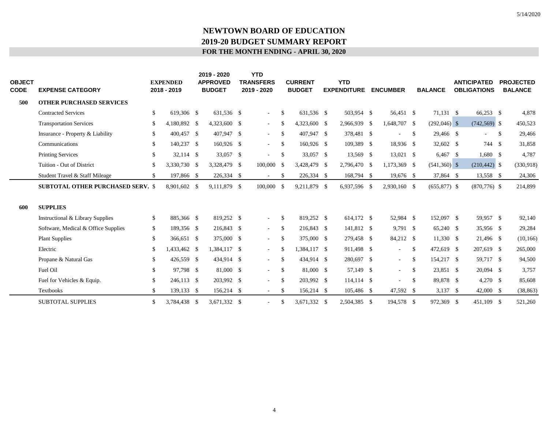| <b>OBJECT</b><br>CODE | <b>EXPENSE CATEGORY</b>                  | <b>EXPENDED</b><br>2018 - 2019 | 2019 - 2020<br><b>APPROVED</b><br><b>BUDGET</b> | <b>YTD</b><br><b>TRANSFERS</b><br>2019 - 2020 |               | <b>CURRENT</b><br><b>BUDGET</b> | <b>YTD</b><br><b>EXPENDITURE</b> | <b>ENCUMBER</b>          |               | <b>BALANCE</b> | <b>ANTICIPATED</b><br><b>OBLIGATIONS</b> |    | <b>PROJECTED</b><br><b>BALANCE</b> |
|-----------------------|------------------------------------------|--------------------------------|-------------------------------------------------|-----------------------------------------------|---------------|---------------------------------|----------------------------------|--------------------------|---------------|----------------|------------------------------------------|----|------------------------------------|
| 500                   | <b>OTHER PURCHASED SERVICES</b>          |                                |                                                 |                                               |               |                                 |                                  |                          |               |                |                                          |    |                                    |
|                       | <b>Contracted Services</b>               | \$<br>619,306 \$               | 631,536 \$                                      | $\sim$                                        | <sup>\$</sup> | 631.536 \$                      | 503,954 \$                       | 56,451 \$                |               | 71,131 \$      | $66,253$ \$                              |    | 4,878                              |
|                       | <b>Transportation Services</b>           | \$<br>4,180,892 \$             | 4,323,600 \$                                    | $\sim$                                        | \$            | 4,323,600 \$                    | 2,966,939 \$                     | 1,648,707 \$             |               | $(292,046)$ \$ | $(742, 569)$ \$                          |    | 450,523                            |
|                       | Insurance - Property & Liability         | \$<br>400,457 \$               | 407,947 \$                                      | $\sim$                                        | \$            | 407,947 \$                      | 378,481 \$                       |                          | <sup>\$</sup> | 29,466 \$      | ÷,                                       | -S | 29,466                             |
|                       | Communications                           | \$<br>140,237 \$               | $160,926$ \$                                    | $\sim$ 10 $\pm$                               | <sup>\$</sup> | $160,926$ \$                    | 109,389 \$                       | 18,936 \$                |               | 32,602 \$      | 744 \$                                   |    | 31,858                             |
|                       | <b>Printing Services</b>                 | \$<br>32,114 \$                | 33,057 \$                                       | $\sim$                                        | -\$           | 33,057 \$                       | 13,569 \$                        | $13,021$ \$              |               | $6,467$ \$     | $1,680$ \$                               |    | 4,787                              |
|                       | Tuition - Out of District                | \$<br>3,330,730 \$             | 3,328,479 \$                                    | $100,000$ \$                                  |               | 3,428,479 \$                    | 2,796,470 \$                     | 1,173,369 \$             |               | $(541,360)$ \$ | $(210, 442)$ \$                          |    | (330,918)                          |
|                       | Student Travel & Staff Mileage           | \$<br>197,866 \$               | 226,334 \$                                      | $\sim$                                        | S             | 226,334 \$                      | 168,794 \$                       | 19,676 \$                |               | 37,864 \$      | 13,558 \$                                |    | 24,306                             |
|                       | <b>SUBTOTAL OTHER PURCHASED SERV. \$</b> | 8,901,602 \$                   | 9,111,879 \$                                    | 100,000 \$                                    |               | 9,211,879 \$                    | 6,937,596 \$                     | 2,930,160 \$             |               | $(655,877)$ \$ | $(870, 776)$ \$                          |    | 214,899                            |
| 600                   | <b>SUPPLIES</b>                          |                                |                                                 |                                               |               |                                 |                                  |                          |               |                |                                          |    |                                    |
|                       | Instructional & Library Supplies         | \$<br>885,366 \$               | 819,252 \$                                      | $\sim$                                        | \$            | 819,252 \$                      | 614,172 \$                       | 52,984 \$                |               | 152,097 \$     | 59,957 \$                                |    | 92,140                             |
|                       | Software, Medical & Office Supplies      | \$<br>189,356 \$               | 216,843 \$                                      | $\sim$ $-$                                    | \$            | 216,843 \$                      | 141,812 \$                       | $9,791$ \$               |               | 65,240 \$      | 35,956 \$                                |    | 29,284                             |
|                       | <b>Plant Supplies</b>                    | \$<br>366,651 \$               | 375,000 \$                                      | $\sim$                                        | S             | 375,000 \$                      | 279,458 \$                       | 84,212 \$                |               | $11,330$ \$    | 21,496 \$                                |    | (10, 166)                          |
|                       | Electric                                 | \$<br>433,462 \$               | 1,384,117 \$                                    | $\sim$                                        | -S            | 1,384,117 \$                    | 911,498 \$                       | $\overline{\phantom{a}}$ | <sup>\$</sup> | 472,619 \$     | 207,619 \$                               |    | 265,000                            |
|                       | Propane & Natural Gas                    | \$<br>426,559 \$               | 434,914 \$                                      | $\sim$                                        | <sup>\$</sup> | 434,914 \$                      | 280,697 \$                       | $\sim$                   | <sup>\$</sup> | 154,217 \$     | 59,717 \$                                |    | 94,500                             |
|                       | Fuel Oil                                 | \$<br>97,798 \$                | 81,000 \$                                       | $\sim$                                        | \$            | 81,000 \$                       | 57,149 \$                        | $\sim$                   | <sup>\$</sup> | 23,851 \$      | $20,094$ \$                              |    | 3,757                              |
|                       | Fuel for Vehicles & Equip.               | \$<br>246,113 \$               | 203,992 \$                                      | $\sim$                                        | \$            | 203,992 \$                      | $114,114$ \$                     | $\blacksquare$           | $\mathcal{S}$ | 89,878 \$      | $4,270$ \$                               |    | 85,608                             |
|                       | Textbooks                                | \$<br>139,133 \$               | 156,214 \$                                      | $\sim$                                        | -S            | 156,214 \$                      | 105,486 \$                       | 47,592 \$                |               | $3,137$ \$     | $42,000$ \$                              |    | (38, 863)                          |
|                       | <b>SUBTOTAL SUPPLIES</b>                 | \$<br>3,784,438 \$             | 3.671.332 \$                                    |                                               | -S            | 3.671.332 \$                    | 2.504.385 \$                     | 194,578 \$               |               | 972,369 \$     | 451.109 \$                               |    | 521,260                            |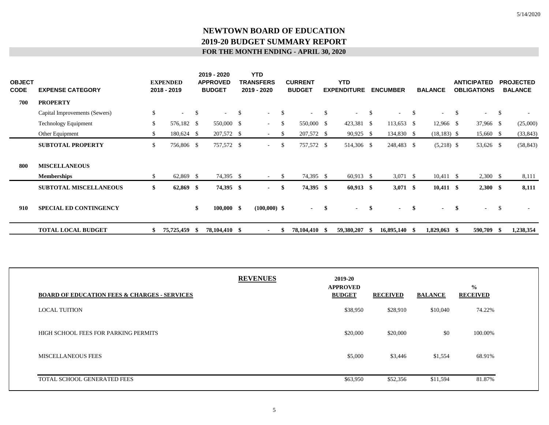| <b>OBJECT</b><br><b>CODE</b> | <b>EXPENSE CATEGORY</b>       |     | <b>EXPENDED</b><br>2018 - 2019 |              | 2019 - 2020<br><b>APPROVED</b><br><b>BUDGET</b> |    | <b>YTD</b><br><b>TRANSFERS</b><br>2019 - 2020 |               | <b>CURRENT</b><br><b>BUDGET</b> |    | <b>YTD</b><br><b>EXPENDITURE</b> |               | <b>ENCUMBER</b> |               | <b>BALANCE</b>    |    | <b>ANTICIPATED</b><br><b>OBLIGATIONS</b> |               | <b>PROJECTED</b><br><b>BALANCE</b> |
|------------------------------|-------------------------------|-----|--------------------------------|--------------|-------------------------------------------------|----|-----------------------------------------------|---------------|---------------------------------|----|----------------------------------|---------------|-----------------|---------------|-------------------|----|------------------------------------------|---------------|------------------------------------|
| 700                          | <b>PROPERTY</b>               |     |                                |              |                                                 |    |                                               |               |                                 |    |                                  |               |                 |               |                   |    |                                          |               |                                    |
|                              | Capital Improvements (Sewers) | \$  | $\sim$                         | $\mathbb{S}$ | $\sim$                                          | -S | $\sim$ 10 $\pm$                               | $\mathcal{S}$ | $\sim$ 10 $\sim$                | -S |                                  | $\mathcal{S}$ | ٠               | <sup>\$</sup> |                   | -S |                                          | <sup>\$</sup> |                                    |
|                              | <b>Technology Equipment</b>   | \$  | 576,182 \$                     |              | 550,000 \$                                      |    | $\sim$                                        | \$            | 550,000 \$                      |    | 423,381 \$                       |               | $113,653$ \$    |               | $12,966$ \$       |    | 37,966 \$                                |               | (25,000)                           |
|                              | Other Equipment               | \$  | 180,624 \$                     |              | 207,572 \$                                      |    | $\sim$                                        | <sup>\$</sup> | 207,572 \$                      |    | 90,925 \$                        |               | 134,830 \$      |               | $(18, 183)$ \$    |    | 15,660 \$                                |               | (33, 843)                          |
|                              | <b>SUBTOTAL PROPERTY</b>      | \$  | 756,806 \$                     |              | 757,572 \$                                      |    | $\sim$ 10 $\pm$                               | \$            | 757,572 \$                      |    | 514,306 \$                       |               | 248,483 \$      |               | $(5,218)$ \$      |    | 53,626 \$                                |               | (58, 843)                          |
| 800                          | <b>MISCELLANEOUS</b>          |     |                                |              |                                                 |    |                                               |               |                                 |    |                                  |               |                 |               |                   |    |                                          |               |                                    |
|                              | <b>Memberships</b>            | \$  | $62,869$ \$                    |              | 74,395 \$                                       |    | $\sim$                                        | -S            | 74,395 \$                       |    | $60,913$ \$                      |               | $3,071$ \$      |               | $10,411 \quad$ \$ |    | $2,300$ \$                               |               | 8,111                              |
|                              | <b>SUBTOTAL MISCELLANEOUS</b> | \$  | $62,869$ \$                    |              | 74,395 \$                                       |    | $\sim$                                        | \$            | 74,395 \$                       |    | $60,913$ \$                      |               | $3,071$ \$      |               | $10,411$ \$       |    | $2,300$ \$                               |               | 8,111                              |
| 910                          | <b>SPECIAL ED CONTINGENCY</b> |     |                                | \$           | $100,000$ \$                                    |    | $(100,000)$ \$                                |               | $\sim$ 100 $\mu$                | \$ | $\blacksquare$                   | \$            | $\blacksquare$  | -\$           |                   | \$ | $\overline{\phantom{a}}$                 | <sup>\$</sup> |                                    |
|                              | <b>TOTAL LOCAL BUDGET</b>     | SS. | 75,725,459 \$                  |              | 78,104,410 \$                                   |    |                                               | -S            | 78,104,410 \$                   |    | 59,380,207                       | - 15          | 16,895,140 \$   |               | $1,829,063$ \$    |    | 590,709 \$                               |               | 1,238,354                          |

| <b>BOARD OF EDUCATION FEES &amp; CHARGES - SERVICES</b> | <b>REVENUES</b> | 2019-20<br><b>APPROVED</b><br><b>BUDGET</b> | <b>RECEIVED</b> | <b>BALANCE</b> | $\frac{0}{0}$<br><b>RECEIVED</b> |
|---------------------------------------------------------|-----------------|---------------------------------------------|-----------------|----------------|----------------------------------|
| <b>LOCAL TUITION</b>                                    |                 | \$38,950                                    | \$28,910        | \$10,040       | 74.22%                           |
| HIGH SCHOOL FEES FOR PARKING PERMITS                    |                 | \$20,000                                    | \$20,000        | \$0            | 100.00%                          |
| <b>MISCELLANEOUS FEES</b>                               |                 | \$5,000                                     | \$3,446         | \$1,554        | 68.91%                           |
| TOTAL SCHOOL GENERATED FEES                             |                 | \$63,950                                    | \$52,356        | \$11,594       | 81.87%                           |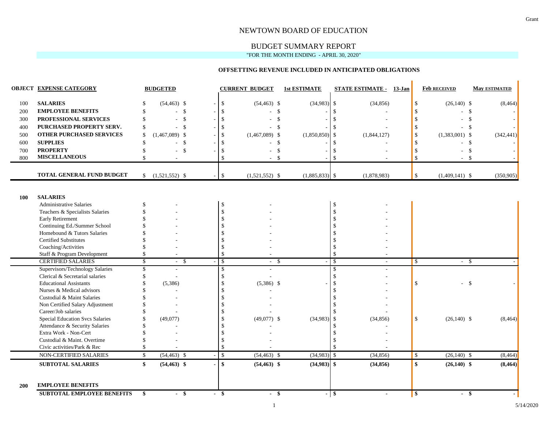#### NEWTOWN BOARD OF EDUCATION

# BUDGET SUMMARY REPORT

"FOR THE MONTH ENDING - APRIL 30, 2020"

#### **OFFSETTING REVENUE INCLUDED IN ANTICIPATED OBLIGATIONS**

|            | <b>OBJECT EXPENSE CATEGORY</b>                              |                    | <b>BUDGETED</b>                  |                              | <b>CURRENT BUDGET</b>            | <b>1st ESTIMATE</b>       |                    | <b>STATE ESTIMATE -</b><br>13-Jan |                    | <b>Feb RECEIVED</b>            | <b>May ESTIMATED</b> |
|------------|-------------------------------------------------------------|--------------------|----------------------------------|------------------------------|----------------------------------|---------------------------|--------------------|-----------------------------------|--------------------|--------------------------------|----------------------|
| 100        | <b>SALARIES</b>                                             |                    | $(54, 463)$ \$                   | $\mathbf{\hat{S}}$           | $(54, 463)$ \$                   | $(34,983)$ \$             |                    | (34, 856)                         | $\mathbb{S}$       | $(26,140)$ \$                  | (8, 464)             |
| 200        | <b>EMPLOYEE BENEFITS</b>                                    | \$.                | - \$                             | -\$                          |                                  | \$                        | $\mathbf{\hat{s}}$ |                                   | \$                 | \$                             |                      |
| 300        | PROFESSIONAL SERVICES                                       | \$                 | $\mathcal{S}$<br>÷               |                              | $\mathcal{S}$                    |                           | $\mathbf{\hat{S}}$ |                                   | $\mathbf S$        | $\mathbb{S}$                   |                      |
| 400        | PURCHASED PROPERTY SERV.                                    | -S                 | - \$<br>$\sim$                   |                              | -\$                              |                           | -\$                |                                   | \$                 | - \$                           |                      |
| 500        | <b>OTHER PURCHASED SERVICES</b>                             | <sup>\$</sup>      | $(1,467,089)$ \$                 |                              | $(1,467,089)$ \$                 | (1,850,850)               | \$                 | (1,844,127)                       | \$                 | $(1,383,001)$ \$               | (342, 441)           |
| 600        | <b>SUPPLIES</b>                                             | \$                 | - \$                             |                              |                                  | $\mathbb{S}$              | $\mathbf{\$}$      |                                   | \$                 | - \$                           |                      |
| 700        | <b>PROPERTY</b>                                             | \$                 | $\mathcal{S}$                    |                              |                                  | \$                        | - \$               |                                   | -S                 | $\mathbb{S}$                   |                      |
| 800        | <b>MISCELLANEOUS</b>                                        | $\mathbf{\hat{S}}$ |                                  | $\mathcal{S}$                | -S<br>$\sim$                     |                           | $\mathbf{\hat{S}}$ |                                   | $\mathcal{S}$      | - \$<br>$\sim$                 |                      |
|            | TOTAL GENERAL FUND BUDGET                                   | \$                 | $(1,521,552)$ \$                 | $\mathbb{S}$                 | $(1,521,552)$ \$                 | $(1,885,833)$ \$          |                    | (1,878,983)                       | \$                 | $(1,409,141)$ \$               | (350, 905)           |
| 100        | <b>SALARIES</b>                                             |                    |                                  |                              |                                  |                           |                    |                                   |                    |                                |                      |
|            | <b>Administrative Salaries</b>                              | <sup>\$</sup>      |                                  | $\mathbb{S}$                 |                                  |                           | \$                 |                                   |                    |                                |                      |
|            | Teachers & Specialists Salaries                             |                    |                                  | $\mathcal{S}$                |                                  |                           | \$                 |                                   |                    |                                |                      |
|            | Early Retirement                                            |                    |                                  |                              |                                  |                           | $\mathcal{S}$      |                                   |                    |                                |                      |
|            | Continuing Ed./Summer School                                |                    |                                  |                              |                                  |                           | $\mathcal{S}$      |                                   |                    |                                |                      |
|            | Homebound & Tutors Salaries<br><b>Certified Substitutes</b> |                    |                                  |                              |                                  |                           | $\mathcal{S}$      |                                   |                    |                                |                      |
|            | Coaching/Activities                                         |                    |                                  |                              |                                  |                           | $\mathcal{S}$      |                                   |                    |                                |                      |
|            | Staff & Program Development                                 | \$                 |                                  | $\mathcal{S}$                |                                  |                           | $\mathcal{S}$      |                                   |                    |                                |                      |
|            | <b>CERTIFIED SALARIES</b>                                   | \$                 | - \$<br>$\sim$                   | $\mathbb{S}$                 | -\$<br>$\sim$                    |                           | $\mathcal{S}$      |                                   | \$                 | $-$ \$                         |                      |
|            | Supervisors/Technology Salaries                             | \$                 | ÷                                | \$                           |                                  |                           | -\$                |                                   |                    |                                |                      |
|            | Clerical & Secretarial salaries                             | \$.                |                                  | $\mathcal{S}$                |                                  |                           | $\mathcal{S}$      |                                   |                    |                                |                      |
|            | <b>Educational Assistants</b>                               |                    | (5,386)                          | -\$                          | $(5,386)$ \$                     |                           | $\mathcal{S}$      |                                   | $\mathbb{S}$       | <b>S</b>                       |                      |
|            | Nurses & Medical advisors                                   |                    |                                  |                              |                                  |                           | -\$                |                                   |                    |                                |                      |
|            | Custodial & Maint Salaries                                  |                    |                                  |                              |                                  |                           | -\$                |                                   |                    |                                |                      |
|            | Non Certified Salary Adjustment                             |                    |                                  |                              |                                  |                           | - \$               |                                   |                    |                                |                      |
|            | Career/Job salaries                                         |                    |                                  |                              |                                  |                           |                    |                                   |                    |                                |                      |
|            | Special Education Svcs Salaries                             |                    | (49,077)                         |                              | $(49,077)$ \$                    | (34,983)                  | $\mathcal{S}$      | (34, 856)                         | $\mathbf{s}$       | $(26,140)$ \$                  | (8, 464)             |
|            | Attendance & Security Salaries                              |                    |                                  |                              |                                  |                           | $\mathbf{\$}$      |                                   |                    |                                |                      |
|            | Extra Work - Non-Cert                                       |                    |                                  |                              |                                  |                           |                    |                                   |                    |                                |                      |
|            | Custodial & Maint. Overtime                                 |                    |                                  |                              |                                  |                           |                    |                                   |                    |                                |                      |
|            | Civic activities/Park & Rec                                 |                    |                                  | S.                           |                                  |                           |                    |                                   |                    |                                |                      |
|            | NON-CERTIFIED SALARIES<br><b>SUBTOTAL SALARIES</b>          | $\mathbb{S}$<br>\$ | $(54, 463)$ \$<br>$(54, 463)$ \$ | $\mathbb{S}$<br>$\mathbf{s}$ | $(54, 463)$ \$<br>$(54, 463)$ \$ | (34,983)<br>$(34,983)$ \$ | $\mathcal{S}$      | (34, 856)<br>(34, 856)            | $\mathbb{S}$<br>\$ | $(26,140)$ \$<br>$(26,140)$ \$ | (8, 464)<br>(8, 464) |
|            |                                                             |                    |                                  |                              |                                  |                           |                    |                                   |                    |                                |                      |
| <b>200</b> | <b>EMPLOYEE BENEFITS</b>                                    |                    |                                  |                              |                                  |                           |                    |                                   |                    |                                |                      |
|            | <b>SUBTOTAL EMPLOYEE BENEFITS</b>                           | \$                 | $-$ \$                           | $-$ \$                       | - \$                             |                           | - 8                | $\blacksquare$                    | \$                 | $-$ \$                         |                      |